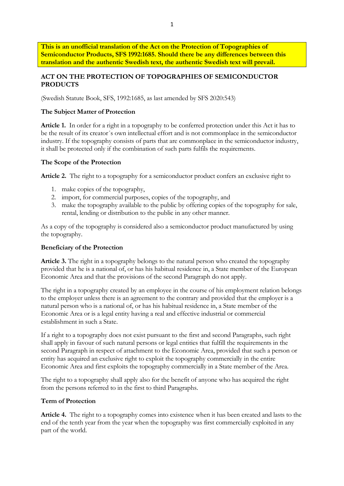**This is an unofficial translation of the Act on the Protection of Topographies of Semiconductor Products, SFS 1992:1685. Should there be any differences between this translation and the authentic Swedish text, the authentic Swedish text will prevail.**

# **ACT ON THE PROTECTION OF TOPOGRAPHIES OF SEMICONDUCTOR PRODUCTS**

(Swedish Statute Book, SFS, 1992:1685, as last amended by SFS 2020:543)

#### **The Subject Matter of Protection**

**Article 1.** In order for a right in a topography to be conferred protection under this Act it has to be the result of its creator´s own intellectual effort and is not commonplace in the semiconductor industry. If the topography consists of parts that are commonplace in the semiconductor industry, it shall be protected only if the combination of such parts fulfils the requirements.

#### **The Scope of the Protection**

**Article 2.** The right to a topography for a semiconductor product confers an exclusive right to

- 1. make copies of the topography,
- 2. import, for commercial purposes, copies of the topography, and
- 3. make the topography available to the public by offering copies of the topography for sale, rental, lending or distribution to the public in any other manner.

As a copy of the topography is considered also a semiconductor product manufactured by using the topography.

#### **Beneficiary of the Protection**

**Article 3.** The right in a topography belongs to the natural person who created the topography provided that he is a national of, or has his habitual residence in, a State member of the European Economic Area and that the provisions of the second Paragraph do not apply.

The right in a topography created by an employee in the course of his employment relation belongs to the employer unless there is an agreement to the contrary and provided that the employer is a natural person who is a national of, or has his habitual residence in, a State member of the Economic Area or is a legal entity having a real and effective industrial or commercial establishment in such a State.

If a right to a topography does not exist pursuant to the first and second Paragraphs, such right shall apply in favour of such natural persons or legal entities that fulfill the requirements in the second Paragraph in respect of attachment to the Economic Area, provided that such a person or entity has acquired an exclusive right to exploit the topography commercially in the entire Economic Area and first exploits the topography commercially in a State member of the Area.

The right to a topography shall apply also for the benefit of anyone who has acquired the right from the persons referred to in the first to third Paragraphs.

#### **Term of Protection**

**Article 4.** The right to a topography comes into existence when it has been created and lasts to the end of the tenth year from the year when the topography was first commercially exploited in any part of the world.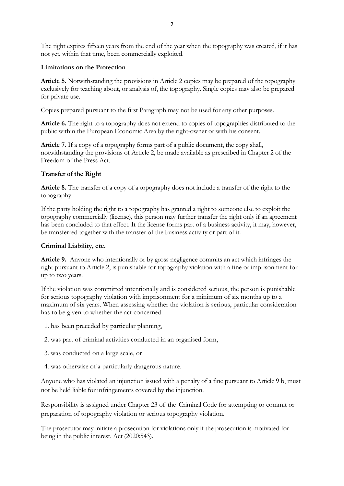The right expires fifteen years from the end of the year when the topography was created, if it has not yet, within that time, been commercially exploited.

## **Limitations on the Protection**

**Article 5.** Notwithstanding the provisions in Article 2 copies may be prepared of the topography exclusively for teaching about, or analysis of, the topography. Single copies may also be prepared for private use.

Copies prepared pursuant to the first Paragraph may not be used for any other purposes.

**Article 6.** The right to a topography does not extend to copies of topographies distributed to the public within the European Economic Area by the right-owner or with his consent.

**Article 7.** If a copy of a topography forms part of a public document, the copy shall, notwithstanding the provisions of Article 2, be made available as prescribed in Chapter 2 of the Freedom of the Press Act.

## **Transfer of the Right**

**Article 8.** The transfer of a copy of a topography does not include a transfer of the right to the topography.

If the party holding the right to a topography has granted a right to someone else to exploit the topography commercially (license), this person may further transfer the right only if an agreement has been concluded to that effect. It the license forms part of a business activity, it may, however, be transferred together with the transfer of the business activity or part of it.

## **Criminal Liability, etc.**

**Article 9.** Anyone who intentionally or by gross negligence commits an act which infringes the right pursuant to Article 2, is punishable for topography violation with a fine or imprisonment for up to two years.

If the violation was committed intentionally and is considered serious, the person is punishable for serious topography violation with imprisonment for a minimum of six months up to a maximum of six years. When assessing whether the violation is serious, particular consideration has to be given to whether the act concerned

- 1. has been preceded by particular planning,
- 2. was part of criminal activities conducted in an organised form,
- 3. was conducted on a large scale, or
- 4. was otherwise of a particularly dangerous nature.

Anyone who has violated an injunction issued with a penalty of a fine pursuant to Article 9 b, must not be held liable for infringements covered by the injunction.

Responsibility is assigned under Chapter 23 of the Criminal Code for attempting to commit or preparation of topography violation or serious topography violation.

The prosecutor may initiate a prosecution for violations only if the prosecution is motivated for being in the public interest. Act (2020:543).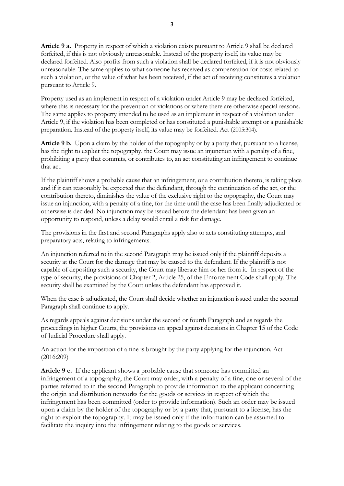**Article 9 a.** Property in respect of which a violation exists pursuant to Article 9 shall be declared forfeited, if this is not obviously unreasonable. Instead of the property itself, its value may be declared forfeited. Also profits from such a violation shall be declared forfeited, if it is not obviously unreasonable. The same applies to what someone has received as compensation for costs related to such a violation, or the value of what has been received, if the act of receiving constitutes a violation pursuant to Article 9.

Property used as an implement in respect of a violation under Article 9 may be declared forfeited, where this is necessary for the prevention of violations or where there are otherwise special reasons. The same applies to property intended to be used as an implement in respect of a violation under Article 9, if the violation has been completed or has constituted a punishable attempt or a punishable preparation. Instead of the property itself, its value may be forfeited. Act (2005:304).

**Article 9 b.** Upon a claim by the holder of the topography or by a party that, pursuant to a license, has the right to exploit the topography, the Court may issue an injunction with a penalty of a fine, prohibiting a party that commits, or contributes to, an act constituting an infringement to continue that act.

If the plaintiff shows a probable cause that an infringement, or a contribution thereto, is taking place and if it can reasonably be expected that the defendant, through the continuation of the act, or the contribution thereto, diminishes the value of the exclusive right to the topography, the Court may issue an injunction, with a penalty of a fine, for the time until the case has been finally adjudicated or otherwise is decided. No injunction may be issued before the defendant has been given an opportunity to respond, unless a delay would entail a risk for damage.

The provisions in the first and second Paragraphs apply also to acts constituting attempts, and preparatory acts, relating to infringements.

An injunction referred to in the second Paragraph may be issued only if the plaintiff deposits a security at the Court for the damage that may be caused to the defendant. If the plaintiff is not capable of depositing such a security, the Court may liberate him or her from it. In respect of the type of security, the provisions of Chapter 2, Article 25, of the Enforcement Code shall apply. The security shall be examined by the Court unless the defendant has approved it.

When the case is adjudicated, the Court shall decide whether an injunction issued under the second Paragraph shall continue to apply.

As regards appeals against decisions under the second or fourth Paragraph and as regards the proceedings in higher Courts, the provisions on appeal against decisions in Chapter 15 of the Code of Judicial Procedure shall apply.

An action for the imposition of a fine is brought by the party applying for the injunction. Act (2016:209)

**Article 9 c.** If the applicant shows a probable cause that someone has committed an infringement of a topography, the Court may order, with a penalty of a fine, one or several of the parties referred to in the second Paragraph to provide information to the applicant concerning the origin and distribution networks for the goods or services in respect of which the infringement has been committed (order to provide information). Such an order may be issued upon a claim by the holder of the topography or by a party that, pursuant to a license, has the right to exploit the topography. It may be issued only if the information can be assumed to facilitate the inquiry into the infringement relating to the goods or services.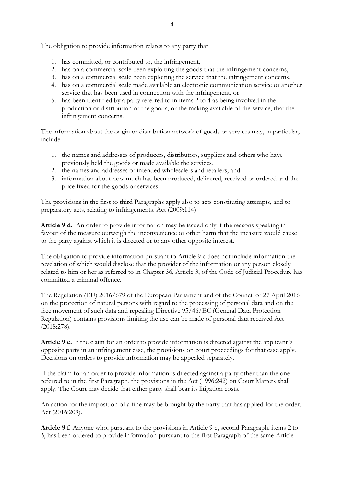The obligation to provide information relates to any party that

- 1. has committed, or contributed to, the infringement,
- 2. has on a commercial scale been exploiting the goods that the infringement concerns,
- 3. has on a commercial scale been exploiting the service that the infringement concerns,
- 4. has on a commercial scale made available an electronic communication service or another service that has been used in connection with the infringement, or
- 5. has been identified by a party referred to in items 2 to 4 as being involved in the production or distribution of the goods, or the making available of the service, that the infringement concerns.

The information about the origin or distribution network of goods or services may, in particular, include

- 1. the names and addresses of producers, distributors, suppliers and others who have previously held the goods or made available the services,
- 2. the names and addresses of intended wholesalers and retailers, and
- 3. information about how much has been produced, delivered, received or ordered and the price fixed for the goods or services.

The provisions in the first to third Paragraphs apply also to acts constituting attempts, and to preparatory acts, relating to infringements. Act (2009:114)

**Article 9 d.** An order to provide information may be issued only if the reasons speaking in favour of the measure outweigh the inconvenience or other harm that the measure would cause to the party against which it is directed or to any other opposite interest.

The obligation to provide information pursuant to Article 9 c does not include information the revelation of which would disclose that the provider of the information or any person closely related to him or her as referred to in Chapter 36, Article 3, of the Code of Judicial Procedure has committed a criminal offence.

The Regulation (EU) 2016/679 of the European Parliament and of the Council of 27 April 2016 on the protection of natural persons with regard to the processing of personal data and on the free movement of such data and repealing Directive 95/46/EC (General Data Protection Regulation) contains provisions limiting the use can be made of personal data received Act (2018:278).

**Article 9 e.** If the claim for an order to provide information is directed against the applicant´s opposite party in an infringement case, the provisions on court proceedings for that case apply. Decisions on orders to provide information may be appealed separately.

If the claim for an order to provide information is directed against a party other than the one referred to in the first Paragraph, the provisions in the Act (1996:242) on Court Matters shall apply. The Court may decide that either party shall bear its litigation costs.

An action for the imposition of a fine may be brought by the party that has applied for the order. Act (2016:209).

**Article 9 f.** Anyone who, pursuant to the provisions in Article 9 c, second Paragraph, items 2 to 5, has been ordered to provide information pursuant to the first Paragraph of the same Article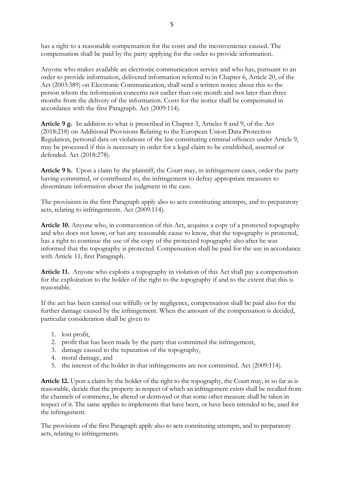has a right to a reasonable compensation for the costs and the inconvenience caused. The compensation shall be paid by the party applying for the order to provide information.

Anyone who makes available an electronic communication service and who has, pursuant to an order to provide information, delivered information referred to in Chapter 6, Article 20, of the Act (2003:389) on Electronic Communication, shall send a written notice about this to the person whom the information concerns not earlier than one month and not later than three months from the delivery of the information. Costs for the notice shall be compensated in accordance with the first Paragraph. Act (2009:114).

**Article 9 g.** In addition to what is prescribed in Chapter 3, Articles 8 and 9, of the Act (2018:218) on Additional Provisions Relating to the European Union Data Protection Regulation, personal data on violations of the law constituting criminal offences under Article 9, may be processed if this is necessary in order for a legal claim to be established, asserted or defended. Act (2018:278).

Article 9 h. Upon a claim by the plaintiff, the Court may, in infringement cases, order the party having committed, or contributed to, the infringement to defray appropriate measures to disseminate information about the judgment in the case.

The provisions in the first Paragraph apply also to acts constituting attempts, and to preparatory acts, relating to infringements. Act (2009:114).

**Article 10.** Anyone who, in contravention of this Act, acquires a copy of a protected topography and who does not know, or has any reasonable cause to know, that the topography is protected, has a right to continue the use of the copy of the protected topography also after he was informed that the topography is protected. Compensation shall be paid for the use in accordance with Article 11, first Paragraph.

**Article 11.** Anyone who exploits a topography in violation of this Act shall pay a compensation for the exploitation to the holder of the right to the topography if and to the extent that this is reasonable.

If the act has been carried out wilfully or by negligence, compensation shall be paid also for the further damage caused by the infringement. When the amount of the compensation is decided, particular consideration shall be given to

- 1. lost profit,
- 2. profit that has been made by the party that committed the infringement,
- 3. damage caused to the reputation of the topography,
- 4. moral damage, and
- 5. the interest of the holder in that infringements are not committed. Act (2009:114).

**Article 12.** Upon a claim by the holder of the right to the topography, the Court may, in so far as is reasonable, decide that the property in respect of which an infringement exists shall be recalled from the channels of commerce, be altered or destroyed or that some other measure shall be taken in respect of it. The same applies to implements that have been, or have been intended to be, used for the infringement.

The provisions of the first Paragraph apply also to acts constituting attempts, and to preparatory acts, relating to infringements.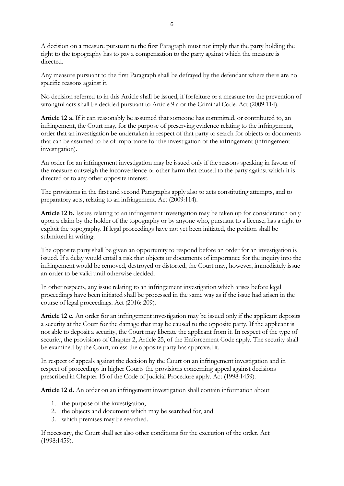A decision on a measure pursuant to the first Paragraph must not imply that the party holding the right to the topography has to pay a compensation to the party against which the measure is directed.

Any measure pursuant to the first Paragraph shall be defrayed by the defendant where there are no specific reasons against it.

No decision referred to in this Article shall be issued, if forfeiture or a measure for the prevention of wrongful acts shall be decided pursuant to Article 9 a or the Criminal Code. Act (2009:114).

**Article 12 a.** If it can reasonably be assumed that someone has committed, or contributed to, an infringement, the Court may, for the purpose of preserving evidence relating to the infringement, order that an investigation be undertaken in respect of that party to search for objects or documents that can be assumed to be of importance for the investigation of the infringement (infringement investigation).

An order for an infringement investigation may be issued only if the reasons speaking in favour of the measure outweigh the inconvenience or other harm that caused to the party against which it is directed or to any other opposite interest.

The provisions in the first and second Paragraphs apply also to acts constituting attempts, and to preparatory acts, relating to an infringement. Act (2009:114).

**Article 12 b.** Issues relating to an infringement investigation may be taken up for consideration only upon a claim by the holder of the topography or by anyone who, pursuant to a license, has a right to exploit the topography. If legal proceedings have not yet been initiated, the petition shall be submitted in writing.

The opposite party shall be given an opportunity to respond before an order for an investigation is issued. If a delay would entail a risk that objects or documents of importance for the inquiry into the infringement would be removed, destroyed or distorted, the Court may, however, immediately issue an order to be valid until otherwise decided.

In other respects, any issue relating to an infringement investigation which arises before legal proceedings have been initiated shall be processed in the same way as if the issue had arisen in the course of legal proceedings. Act (2016: 209).

**Article 12 c.** An order for an infringement investigation may be issued only if the applicant deposits a security at the Court for the damage that may be caused to the opposite party. If the applicant is not able to deposit a security, the Court may liberate the applicant from it. In respect of the type of security, the provisions of Chapter 2, Article 25, of the Enforcement Code apply. The security shall be examined by the Court, unless the opposite party has approved it.

In respect of appeals against the decision by the Court on an infringement investigation and in respect of proceedings in higher Courts the provisions concerning appeal against decisions prescribed in Chapter 15 of the Code of Judicial Procedure apply. Act (1998:1459).

**Article 12 d.** An order on an infringement investigation shall contain information about

- 1. the purpose of the investigation,
- 2. the objects and document which may be searched for, and
- 3. which premises may be searched.

If necessary, the Court shall set also other conditions for the execution of the order. Act (1998:1459).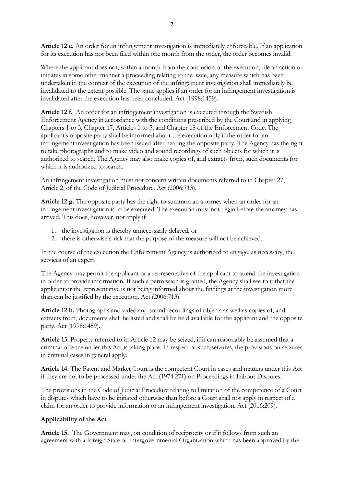**Article 12 e.** An order for an infringement investigation is immediately enforceable. If an application for its execution has not been filed within one month from the order, the order becomes invalid.

Where the applicant does not, within a month from the conclusion of the execution, file an action or initiates in some other manner a proceeding relating to the issue, any measure which has been undertaken in the context of the execution of the infringement investigation shall immediately be invalidated to the extent possible. The same applies if an order for an infringement investigation is invalidated after the execution has been concluded. Act (1998:1459).

**Article 12 f.** An order for an infringement investigation is executed through the Swedish Enforcement Agency in accordance with the conditions prescribed by the Court and in applying Chapters 1 to 3, Chapter 17, Articles 1 to 5, and Chapter 18 of the Enforcement Code. The applicant's opposite party shall be informed about the execution only if the order for an infringement investigation has been issued after hearing the opposite party. The Agency has the right to take photographs and to make video and sound recordings of such objects for which it is authorized to search. The Agency may also make copies of, and extracts from, such documents for which it is authorized to search.

An infringement investigation must not concern written documents referred to in Chapter 27, Article 2, of the Code of Judicial Procedure. Act (2006:713).

**Article 12 g.** The opposite party has the right to summon an attorney when an order for an infringement investigation is to be executed. The execution must not begin before the attorney has arrived. This does, however, not apply if

- 1. the investigation is thereby unnecessarily delayed, or
- 2. there is otherwise a risk that the purpose of the measure will not be achieved.

In the course of the execution the Enforcement Agency is authorized to engage, as necessary, the services of an expert.

The Agency may permit the applicant or a representative of the applicant to attend the investigation in order to provide information. If such a permission is granted, the Agency shall see to it that the applicant or the representative is not being informed about the findings at the investigation more than can be justified by the execution. Act (2006:713).

**Article 12 h.** Photographs and video and sound recordings of objects as well as copies of, and extracts from, documents shall be listed and shall be held available for the applicant and the opposite party. Act (1998:1459).

**Article 13**. Property referred to in Article 12 may be seized, if it can reasonably be assumed that a criminal offence under this Act is taking place. In respect of such seizures, the provisions on seizures in criminal cases in general apply.

**Article 14.** The Patent and Market Court is the competent Court in cases and matters under this Act if they are not to be processed under the Act (1974:271) on Proceedings in Labour Disputes.

The provisions in the Code of Judicial Procedure relating to limitation of the competence of a Court in disputes which have to be initiated otherwise than before a Court shall not apply in respect of a claim for an order to provide information or an infringement investigation. Act (2016:209).

# **Applicability of the Act**

**Article 15.** The Government may, on condition of reciprocity or if it follows from such an agreement with a foreign State or Intergovernmental Organization which has been approved by the